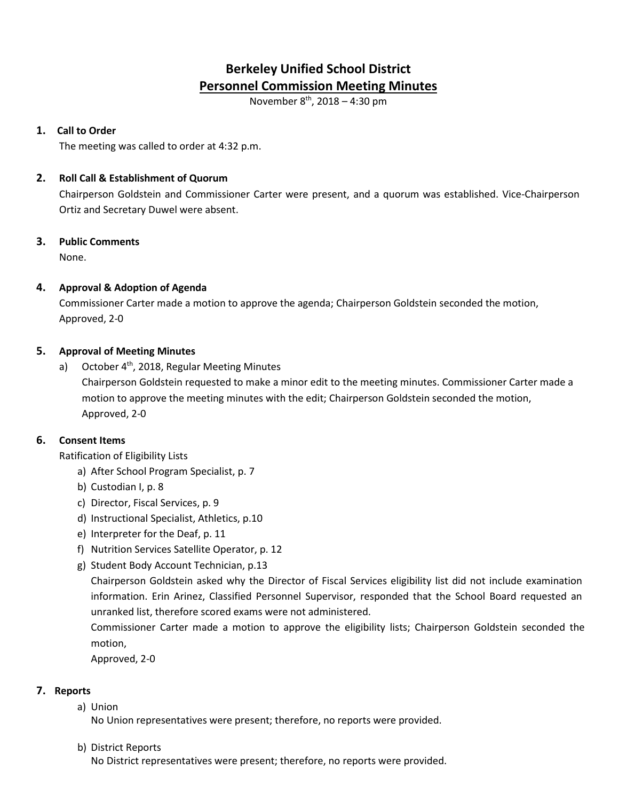# **Berkeley Unified School District Personnel Commission Meeting Minutes**

November 8th, 2018 – 4:30 pm

## **1. Call to Order**

The meeting was called to order at 4:32 p.m.

## **2. Roll Call & Establishment of Quorum**

Chairperson Goldstein and Commissioner Carter were present, and a quorum was established. Vice-Chairperson Ortiz and Secretary Duwel were absent.

# **3. Public Comments**

None.

# **4. Approval & Adoption of Agenda**

Commissioner Carter made a motion to approve the agenda; Chairperson Goldstein seconded the motion, Approved, 2-0

## **5. Approval of Meeting Minutes**

a) October  $4<sup>th</sup>$ , 2018, Regular Meeting Minutes Chairperson Goldstein requested to make a minor edit to the meeting minutes. Commissioner Carter made a motion to approve the meeting minutes with the edit; Chairperson Goldstein seconded the motion, Approved, 2-0

# **6. Consent Items**

Ratification of Eligibility Lists

- a) After School Program Specialist, p. 7
- b) Custodian I, p. 8
- c) Director, Fiscal Services, p. 9
- d) Instructional Specialist, Athletics, p.10
- e) Interpreter for the Deaf, p. 11
- f) Nutrition Services Satellite Operator, p. 12
- g) Student Body Account Technician, p.13

Chairperson Goldstein asked why the Director of Fiscal Services eligibility list did not include examination information. Erin Arinez, Classified Personnel Supervisor, responded that the School Board requested an unranked list, therefore scored exams were not administered.

Commissioner Carter made a motion to approve the eligibility lists; Chairperson Goldstein seconded the motion,

Approved, 2-0

# **7. Reports**

a) Union

No Union representatives were present; therefore, no reports were provided.

b) District Reports

No District representatives were present; therefore, no reports were provided.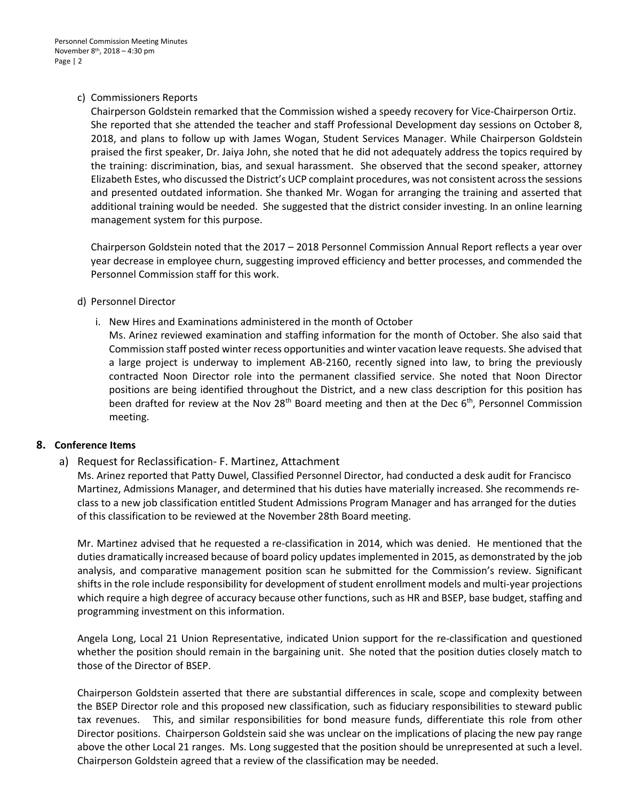## c) Commissioners Reports

Chairperson Goldstein remarked that the Commission wished a speedy recovery for Vice-Chairperson Ortiz. She reported that she attended the teacher and staff Professional Development day sessions on October 8, 2018, and plans to follow up with James Wogan, Student Services Manager. While Chairperson Goldstein praised the first speaker, Dr. Jaiya John, she noted that he did not adequately address the topics required by the training: discrimination, bias, and sexual harassment. She observed that the second speaker, attorney Elizabeth Estes, who discussed the District's UCP complaint procedures, was not consistent across the sessions and presented outdated information. She thanked Mr. Wogan for arranging the training and asserted that additional training would be needed. She suggested that the district consider investing. In an online learning management system for this purpose.

Chairperson Goldstein noted that the 2017 – 2018 Personnel Commission Annual Report reflects a year over year decrease in employee churn, suggesting improved efficiency and better processes, and commended the Personnel Commission staff for this work.

## d) Personnel Director

i. New Hires and Examinations administered in the month of October

Ms. Arinez reviewed examination and staffing information for the month of October. She also said that Commission staff posted winter recess opportunities and winter vacation leave requests. She advised that a large project is underway to implement AB-2160, recently signed into law, to bring the previously contracted Noon Director role into the permanent classified service. She noted that Noon Director positions are being identified throughout the District, and a new class description for this position has been drafted for review at the Nov  $28<sup>th</sup>$  Board meeting and then at the Dec 6<sup>th</sup>, Personnel Commission meeting.

# **8. Conference Items**

a) Request for Reclassification- F. Martinez, Attachment

Ms. Arinez reported that Patty Duwel, Classified Personnel Director, had conducted a desk audit for Francisco Martinez, Admissions Manager, and determined that his duties have materially increased. She recommends reclass to a new job classification entitled Student Admissions Program Manager and has arranged for the duties of this classification to be reviewed at the November 28th Board meeting.

Mr. Martinez advised that he requested a re-classification in 2014, which was denied. He mentioned that the duties dramatically increased because of board policy updates implemented in 2015, as demonstrated by the job analysis, and comparative management position scan he submitted for the Commission's review. Significant shifts in the role include responsibility for development of student enrollment models and multi-year projections which require a high degree of accuracy because other functions, such as HR and BSEP, base budget, staffing and programming investment on this information.

Angela Long, Local 21 Union Representative, indicated Union support for the re-classification and questioned whether the position should remain in the bargaining unit. She noted that the position duties closely match to those of the Director of BSEP.

Chairperson Goldstein asserted that there are substantial differences in scale, scope and complexity between the BSEP Director role and this proposed new classification, such as fiduciary responsibilities to steward public tax revenues. This, and similar responsibilities for bond measure funds, differentiate this role from other Director positions. Chairperson Goldstein said she was unclear on the implications of placing the new pay range above the other Local 21 ranges. Ms. Long suggested that the position should be unrepresented at such a level. Chairperson Goldstein agreed that a review of the classification may be needed.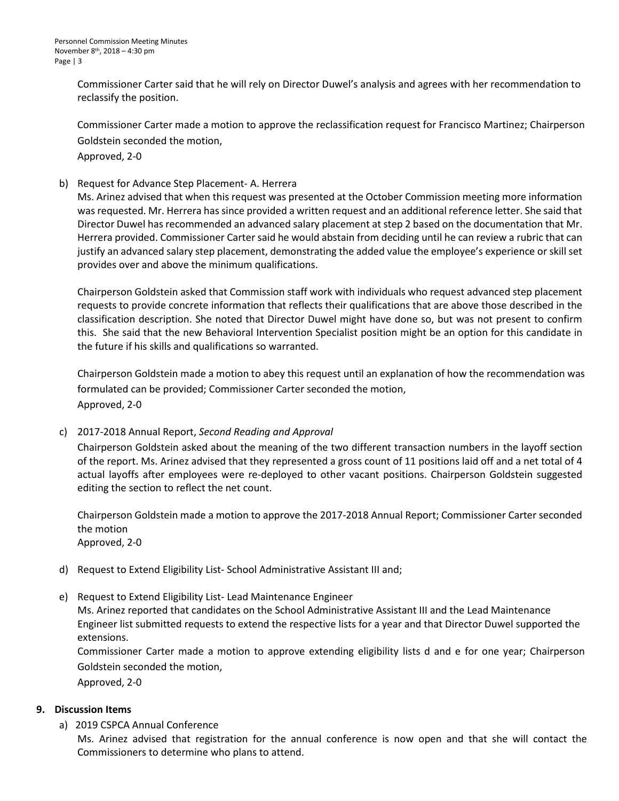Commissioner Carter said that he will rely on Director Duwel's analysis and agrees with her recommendation to reclassify the position.

 Commissioner Carter made a motion to approve the reclassification request for Francisco Martinez; Chairperson Goldstein seconded the motion,

Approved, 2-0

b) Request for Advance Step Placement- A. Herrera

Ms. Arinez advised that when this request was presented at the October Commission meeting more information was requested. Mr. Herrera has since provided a written request and an additional reference letter. She said that Director Duwel has recommended an advanced salary placement at step 2 based on the documentation that Mr. Herrera provided. Commissioner Carter said he would abstain from deciding until he can review a rubric that can justify an advanced salary step placement, demonstrating the added value the employee's experience or skill set provides over and above the minimum qualifications.

Chairperson Goldstein asked that Commission staff work with individuals who request advanced step placement requests to provide concrete information that reflects their qualifications that are above those described in the classification description. She noted that Director Duwel might have done so, but was not present to confirm this. She said that the new Behavioral Intervention Specialist position might be an option for this candidate in the future if his skills and qualifications so warranted.

Chairperson Goldstein made a motion to abey this request until an explanation of how the recommendation was formulated can be provided; Commissioner Carter seconded the motion, Approved, 2-0

## c) 2017-2018 Annual Report, *Second Reading and Approval*

Chairperson Goldstein asked about the meaning of the two different transaction numbers in the layoff section of the report. Ms. Arinez advised that they represented a gross count of 11 positions laid off and a net total of 4 actual layoffs after employees were re-deployed to other vacant positions. Chairperson Goldstein suggested editing the section to reflect the net count.

Chairperson Goldstein made a motion to approve the 2017-2018 Annual Report; Commissioner Carter seconded the motion Approved, 2-0

- d) Request to Extend Eligibility List- School Administrative Assistant III and;
- e) Request to Extend Eligibility List- Lead Maintenance Engineer

Ms. Arinez reported that candidates on the School Administrative Assistant III and the Lead Maintenance Engineer list submitted requests to extend the respective lists for a year and that Director Duwel supported the extensions.

Commissioner Carter made a motion to approve extending eligibility lists d and e for one year; Chairperson Goldstein seconded the motion,

Approved, 2-0

## **9. Discussion Items**

a) 2019 CSPCA Annual Conference

Ms. Arinez advised that registration for the annual conference is now open and that she will contact the Commissioners to determine who plans to attend.